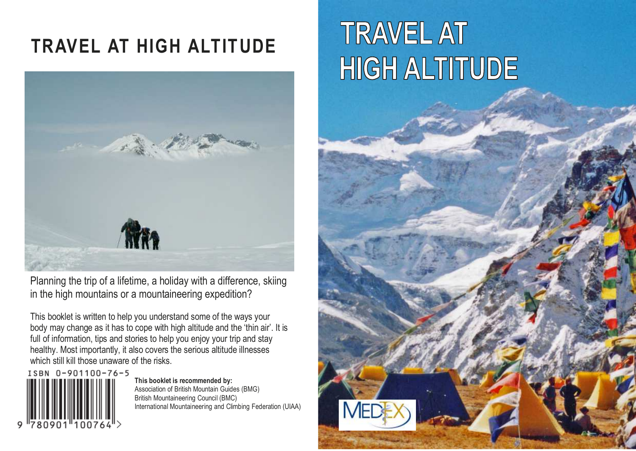# TRAVEL AT HIGH ALTITUDE



Planning the trip of a lifetime, a holiday with a difference, skiing in the high mountains or a mountaineering expedition?

This booklet is written to help you understand some of the ways your body may change as it has to cope with high altitude and the 'thin air'. It is full of information, tips and stories to help you enjoy your trip and stay healthy. Most importantly, it also covers the serious altitude illnesses which still kill those unaware of the risks.

ISBN 0-901100-76-5

This booklet is recommended by: Association of British Mountain Guides (BMG) British Mountaineering Council (BMC) International Mountaineering and Climbing Federation (UIAA)

# **TRAVEL AT HIGH ALTITUDE**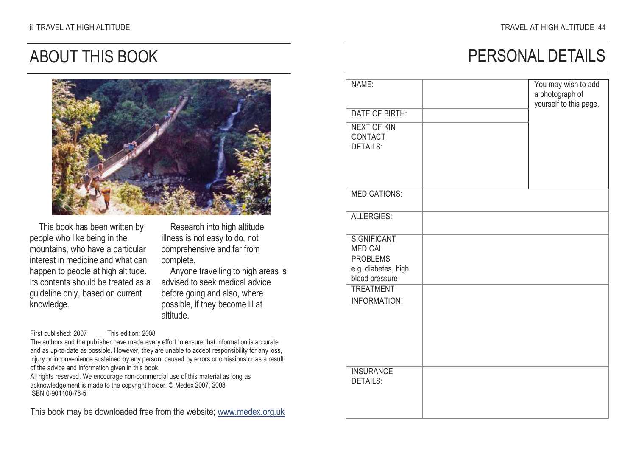PERSONAL DETAILS

### ABOUT THIS BOOK



This book has been written by people who like being in the mountains, who have a particular interest in medicine and what can happen to people at high altitude. Its contents should be treated as a guideline only, based on current knowledge.

Research into high altitude illness is not easy to do, not comprehensive and far from complete.

 Anyone travelling to high areas is advised to seek medical advice before going and also, where possible, if they become ill at altitude.

First published: 2007 This edition: 2008

 The authors and the publisher have made every effort to ensure that information is accurate and as up-to-date as possible. However, they are unable to accept responsibility for any loss, injury or inconvenience sustained by any person, caused by errors or omissions or as a result of the advice and information given in this book.

 All rights reserved. We encourage non-commercial use of this material as long as acknowledgement is made to the copyright holder. © Medex 2007, 2008 ISBN 0-901100-76-5

This book may be downloaded free from the website; www.medex.org.uk

| NAME:                                                                                            | You may wish to add<br>a photograph of<br>yourself to this page. |
|--------------------------------------------------------------------------------------------------|------------------------------------------------------------------|
| <b>DATE OF BIRTH:</b>                                                                            |                                                                  |
| <b>NEXT OF KIN</b><br>CONTACT<br><b>DETAILS:</b>                                                 |                                                                  |
| <b>MEDICATIONS:</b>                                                                              |                                                                  |
| <b>ALLERGIES:</b>                                                                                |                                                                  |
| <b>SIGNIFICANT</b><br><b>MEDICAL</b><br><b>PROBLEMS</b><br>e.g. diabetes, high<br>blood pressure |                                                                  |
| <b>TREATMENT</b><br>INFORMATION:                                                                 |                                                                  |
| <b>INSURANCE</b><br><b>DETAILS:</b>                                                              |                                                                  |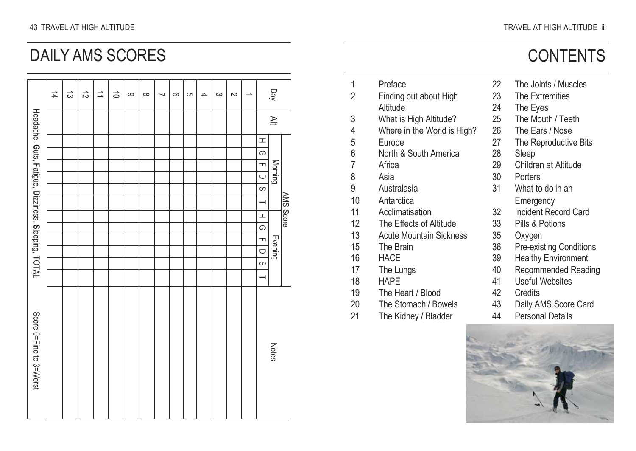### DAILY AMS SCORES

|                                                     | $\frac{1}{4}$ | ದ | $\vec{c}$ | $\Rightarrow$ | $\vec{0}$ | $\circ$ | $\infty$ | ┙ | ၜ | CΠ | $\overline{\phantom{a}}$ | ယ | $\sim$ | ∸ |                | Day          |           |
|-----------------------------------------------------|---------------|---|-----------|---------------|-----------|---------|----------|---|---|----|--------------------------|---|--------|---|----------------|--------------|-----------|
| Headache, Guts, Fatigue, Dizziness, Sleeping, TOTAL |               |   |           |               |           |         |          |   |   |    |                          |   |        |   |                | $\cong$      |           |
|                                                     |               |   |           |               |           |         |          |   |   |    |                          |   |        |   | H              |              |           |
|                                                     |               |   |           |               |           |         |          |   |   |    |                          |   |        |   | G              |              |           |
|                                                     |               |   |           |               |           |         |          |   |   |    |                          |   |        |   | $\blacksquare$ | Morning      |           |
|                                                     |               |   |           |               |           |         |          |   |   |    |                          |   |        |   | $\cup$         |              |           |
|                                                     |               |   |           |               |           |         |          |   |   |    |                          |   |        |   | $\circ$        |              |           |
|                                                     |               |   |           |               |           |         |          |   |   |    |                          |   |        |   | $\rightarrow$  |              | AMS Score |
|                                                     |               |   |           |               |           |         |          |   |   |    |                          |   |        |   | H              |              |           |
|                                                     |               |   |           |               |           |         |          |   |   |    |                          |   |        |   | G              |              |           |
|                                                     |               |   |           |               |           |         |          |   |   |    |                          |   |        |   | $\blacksquare$ |              |           |
|                                                     |               |   |           |               |           |         |          |   |   |    |                          |   |        |   | $\cup$         | Evening      |           |
|                                                     |               |   |           |               |           |         |          |   |   |    |                          |   |        |   | S              |              |           |
|                                                     |               |   |           |               |           |         |          |   |   |    |                          |   |        |   | ⊣              |              |           |
| Score 0=Fine to 3=Worst                             |               |   |           |               |           |         |          |   |   |    |                          |   |        |   |                | <b>Notes</b> |           |

|    |                                |    | <b>CONTENTS</b>                |
|----|--------------------------------|----|--------------------------------|
| 1  | Preface                        | 22 | The Joints / Muscles           |
| 2  | Finding out about High         | 23 | The Extremities                |
|    | Altitude                       | 24 | The Eyes                       |
| 3  | What is High Altitude?         | 25 | The Mouth / Teeth              |
| 4  | Where in the World is High?    | 26 | The Ears / Nose                |
| 5  | Europe                         | 27 | The Reproductive Bits          |
| 6  | North & South America          | 28 | Sleep                          |
| 7  | Africa                         | 29 | Children at Altitude           |
| 8  | Asia                           | 30 | Porters                        |
| 9  | Australasia                    | 31 | What to do in an               |
| 10 | Antarctica                     |    | Emergency                      |
| 11 | Acclimatisation                | 32 | Incident Record Card           |
| 12 | The Effects of Altitude        | 33 | Pills & Potions                |
| 13 | <b>Acute Mountain Sickness</b> | 35 | Oxygen                         |
| 15 | The Brain                      | 36 | <b>Pre-existing Conditions</b> |
| 16 | <b>HACE</b>                    | 39 | <b>Healthy Environment</b>     |
| 17 | The Lungs                      | 40 | Recommended Reading            |
| 18 | HAPE                           | 41 | Useful Websites                |

- 
- 19 The Heart / Blood 42 Credits
- 20 The Stomach / Bowels 43 Daily AMS Score Card
- 21 The Kidney / Bladder 44 Personal Details

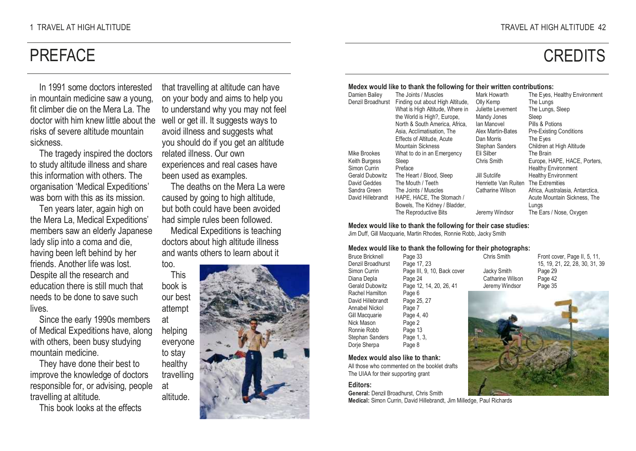### **PREFACE**

In 1991 some doctors interested in mountain medicine saw a young, fit climber die on the Mera La. The doctor with him knew little about the risks of severe altitude mountain sickness.

 The tragedy inspired the doctors to study altitude illness and share this information with others. The organisation 'Medical Expeditions' was born with this as its mission.

Ten years later, again high on the Mera La, Medical Expeditions' members saw an elderly Japanese lady slip into a coma and die, having been left behind by her friends. Another life was lost. Despite all the research and education there is still much that needs to be done to save such lives.

 Since the early 1990s members of Medical Expeditions have, along with others, been busy studying mountain medicine.

 They have done their best to improve the knowledge of doctors responsible for, or advising, people travelling at altitude.

This book looks at the effects

that travelling at altitude can have on your body and aims to help you to understand why you may not feel well or get ill. It suggests ways to avoid illness and suggests what you should do if you get an altitude related illness. Our own experiences and real cases have been used as examples.

 The deaths on the Mera La were caused by going to high altitude, but both could have been avoided had simple rules been followed.

 Medical Expeditions is teaching doctors about high altitude illness and wants others to learn about it too.

 This book is our best attempt at

helping

to stay healthy

at altitude.



#### Medex would like to thank the following for their written contributions:

| Damien Bailey     | The Joints / Muscles             | Mark Howarth         | The Eyes, Healthy Environment    |
|-------------------|----------------------------------|----------------------|----------------------------------|
| Denzil Broadhurst | Finding out about High Altitude, | Olly Kemp            | The Lungs                        |
|                   | What is High Altitude, Where in  | Juliette Levement    | The Lungs, Sleep                 |
|                   | the World is High?, Europe.      | Mandy Jones          | Sleep                            |
|                   | North & South America, Africa.   | lan Manovel          | Pills & Potions                  |
|                   | Asia, Acclimatisation, The       | Alex Martin-Bates    | <b>Pre-Existing Conditions</b>   |
|                   | Effects of Altitude, Acute       | Dan Morris           | The Eves                         |
|                   | Mountain Sickness                | Stephan Sanders      | Children at High Altitude        |
| Mike Brookes      | What to do in an Emergency       | Eli Silber           | The Brain                        |
| Keith Burgess     | Sleep                            | Chris Smith          | Europe, HAPE, HACE, Porters,     |
| Simon Currin      | Preface                          |                      | <b>Healthy Environment</b>       |
| Gerald Dubowitz   | The Heart / Blood, Sleep         | Jill Sutclife        | <b>Healthy Environment</b>       |
| David Geddes      | The Mouth / Teeth                | Henriette Van Ruiten | The Extremities                  |
| Sandra Green      | The Joints / Muscles             | Catharine Wilson     | Africa, Australasia, Antarctica, |
| David Hillebrandt | HAPE, HACE, The Stomach /        |                      | Acute Mountain Sickness. The     |
|                   | Bowels, The Kidney / Bladder,    |                      | Lungs                            |
|                   | The Reproductive Bits            | Jeremy Windsor       | The Ears / Nose, Oxygen          |

Chris Smith Jacky Smith Catharine Wilson Jeremy Windsor

Medex would like to thank the following for their case studies: Jim Duff, Gill Macquarie, Martin Rhodes, Ronnie Robb, Jacky Smith

#### Medex would like to thank the following for their photographs:

Bruce Bricknell Denzil Broadhurst Simon Currin Diana Depla Gerald Dubowitz Rachel Hamilton David Hillebrandt Annabel Nickol Gill Macquarie Nick Mason Ronnie Robb Stephan Sanders Dorje Sherpa Page 33 Page 17, 23 Page III, 9, 10, Back cover Page 24 Page 12, 14, 20, 26, 41 Page 6 Page 25, 27 Page 7 Page 4, 40 Page 2 Page 13 Page 1, 3, Page 8

#### Medex would also like to thank:

All those who commented on the booklet drafts The UIAA for their supporting grant

#### Editors:

General: Denzil Broadhurst, Chris Smith Medical: Simon Currin, David Hillebrandt, Jim Milledge, Paul Richards Front cover, Page II, 5, 11, 15, 19, 21, 22, 28, 30, 31, 39 Page 29 Page 42 Page 35



### **CREDITS**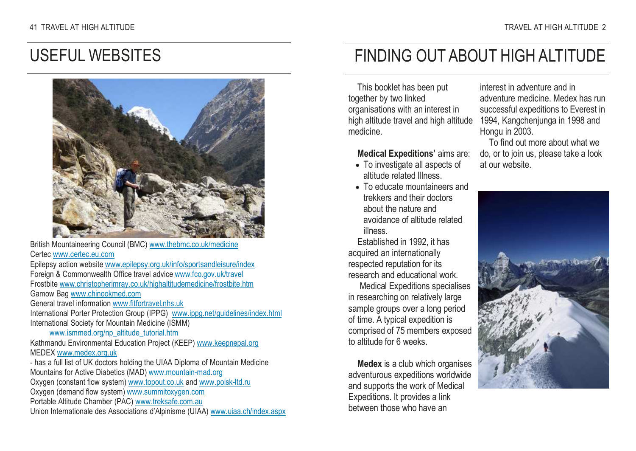### USEFUL WEBSITES



British Mountaineering Council (BMC) www.thebmc.co.uk/medicineCertec www.certec.eu.com Epilepsy action website www.epilepsy.org.uk/info/sportsandleisure/indexForeign & Commonwealth Office travel advice www.fco.gov.uk/travel Frostbite www.christopherimray.co.uk/highaltitudemedicine/frostbite.htmGamow Bag www.chinookmed.com General travel information www.fitfortravel.nhs.ukInternational Porter Protection Group (IPPG) www.ippg.net/guidelines/index.html International Society for Mountain Medicine (ISMM) www.ismmed.org/np\_altitude\_tutorial.htm Kathmandu Environmental Education Project (KEEP) www.keepnepal.org MEDEX www.medex.org.uk - has a full list of UK doctors holding the UIAA Diploma of Mountain Medicine Mountains for Active Diabetics (MAD) www.mountain-mad.orgOxygen (constant flow system) <u>www.topout.co.uk</u> and www.poisk-ltd.ru Oxygen (demand flow system) www.summitoxygen.comPortable Altitude Chamber (PAC) www.treksafe.com.au Union Internationale des Associations d'Alpinisme (UIAA) www.uiaa.ch/index.aspx

### FINDING OUT ABOUT HIGH ALTITUDE

This booklet has been put together by two linked organisations with an interest in high altitude travel and high altitude medicine.

Medical Expeditions' aims are:

- To investigate all aspects of altitude related Illness.
- To educate mountaineers and trekkers and their doctors about the nature and avoidance of altitude related illness.

 Established in 1992, it has acquired an internationally respected reputation for its research and educational work.

 Medical Expeditions specialises in researching on relatively large sample groups over a long period of time. A typical expedition is comprised of 75 members exposed to altitude for 6 weeks.

Medex is a club which organises adventurous expeditions worldwide and supports the work of Medical Expeditions. It provides a link between those who have an

interest in adventure and in adventure medicine. Medex has run successful expeditions to Everest in 1994, Kangchenjunga in 1998 and Hongu in 2003.

 To find out more about what we do, or to join us, please take a look at our website.

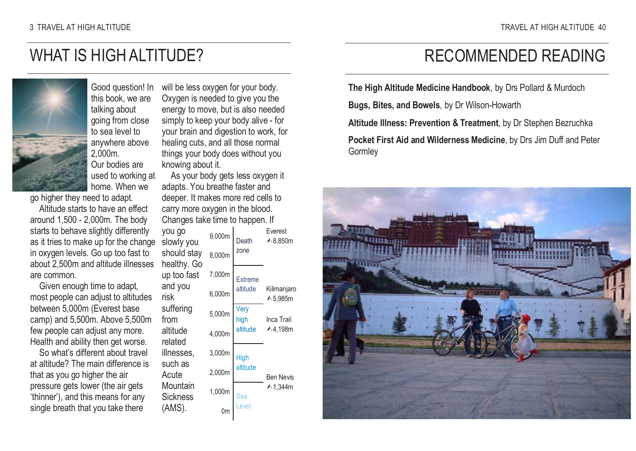### WHAT IS HIGH ALTITUDE?



Good question! In this book, we are talking about going from close to sea level to anywhere above 2,000m. Our bodies are used to working at home. When we

go higher they need to adapt.

 Altitude starts to have an effect around 1,500 - 2,000m. The body starts to behave slightly differently as it tries to make up for the change in oxygen levels. Go up too fast to about 2,500m and altitude illnesses are common.

 Given enough time to adapt, most people can adjust to altitudes between 5,000m (Everest base camp) and 5,500m. Above 5,500m few people can adjust any more. Health and ability then get worse.

 So what's different about travel at altitude? The main difference is that as you go higher the air pressure gets lower (the air gets 'thinner'), and this means for any single breath that you take there

will be less oxygen for your body. Oxygen is needed to give you the energy to move, but is also needed simply to keep your body alive - for your brain and digestion to work, for healing cuts, and all those normal things your body does without you knowing about it.

 As your body gets less oxygen it adapts. You breathe faster and deeper. It makes more red cells to carry more oxygen in the blood. Changes take time to happen. If

| you go<br>slowly you       | 9,000m | Death          | Everest<br>▲8,850m     |
|----------------------------|--------|----------------|------------------------|
| should stay<br>healthy. Go | 8.000m | zone           |                        |
| up too fast                | 7,000m | <b>Extreme</b> |                        |
| and you<br>risk            | 6.000m | altitude       | Kilimanjaro<br>▲5,985m |
| suffering<br>from          | 5,000m | Very<br>high   | Inca Trail             |
| altitude<br>related        | 4,000m | altitude       | A4,198m                |
| illnesses.                 | 3,000m | High           |                        |
| such as<br>Acute           | 2,000m | altitude       | <b>Ben Nevis</b>       |
| Mountain<br>Sickness       | 1,000m |                | $\triangle$ 1.344m     |
| (AMS).                     |        | PVA            |                        |
|                            |        |                |                        |

### RECOMMENDED READING

The High Altitude Medicine Handbook, by Drs Pollard & Murdoch

Bugs, Bites, and Bowels, by Dr Wilson-Howarth

Altitude Illness: Prevention & Treatment, by Dr Stephen Bezruchka

Pocket First Aid and Wilderness Medicine, by Drs Jim Duff and Peter Gormley

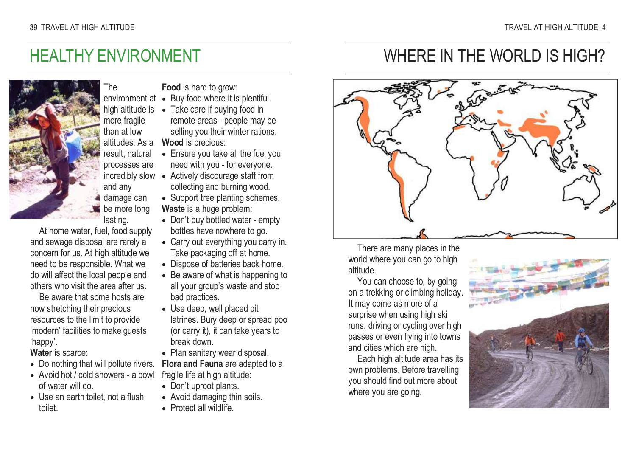### HEALTHY ENVIRONMENT

The

more fragile than at low

and any damage can be more long lasting.



 At home water, fuel, food supply and sewage disposal are rarely a concern for us. At high altitude we need to be responsible. What we do will affect the local people and others who visit the area after us.

Be aware that some hosts are now stretching their precious resources to the limit to provide 'modern' facilities to make guests 'happy'.

Water is scarce:

- Do nothing that will pollute rivers.
- Avoid hot / cold showers a bowl of water will do.
- Use an earth toilet, not a flush toilet.

Food is hard to grow:

- environment at Buy food where it is plentiful.
- high altitude is Take care if buying food in
	- remote areas people may be selling you their winter rations.

 altitudes. As a result, natural Wood is precious:

- processes are • Ensure you take all the fuel you need with you - for everyone.
- incredibly slow Actively discourage staff from collecting and burning wood.
	- Support tree planting schemes. Waste is a huge problem:
	- Don't buy bottled water empty bottles have nowhere to go.
	- Carry out everything you carry in. Take packaging off at home.
	- Dispose of batteries back home.
	- Be aware of what is happening to all your group's waste and stop bad practices.
	- Use deep, well placed pit latrines. Bury deep or spread poo (or carry it), it can take years to break down.
	- Plan sanitary wear disposal. Flora and Fauna are adapted to a fragile life at high altitude:
	- Don't uproot plants.
	- Avoid damaging thin soils.
	- Protect all wildlife.

### WHERE IN THE WORLD IS HIGH?



There are many places in the world where you can go to high altitude.

 You can choose to, by going on a trekking or climbing holiday. It may come as more of a surprise when using high ski runs, driving or cycling over high passes or even flying into towns and cities which are high.

 Each high altitude area has its own problems. Before travelling you should find out more about where you are going.

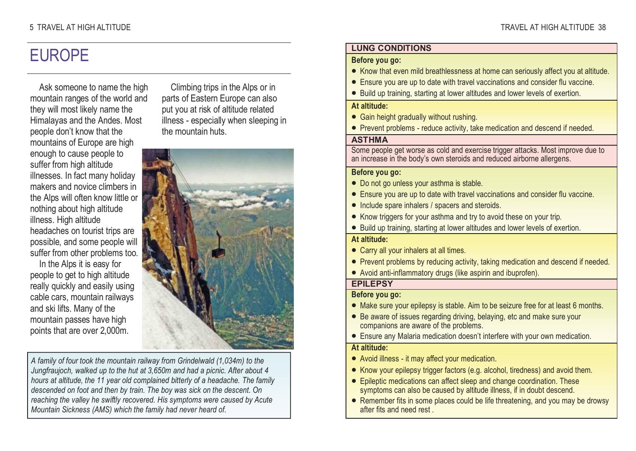### EUROPE

Ask someone to name the high mountain ranges of the world and they will most likely name the Himalayas and the Andes. Most people don't know that the mountains of Europe are high enough to cause people to suffer from high altitude illnesses. In fact many holiday makers and novice climbers in the Alps will often know little or nothing about high altitude illness. High altitude headaches on tourist trips are possible, and some people will suffer from other problems too.

In the Alps it is easy for people to get to high altitude really quickly and easily using cable cars, mountain railways and ski lifts. Many of the mountain passes have high points that are over 2,000m.

Climbing trips in the Alps or in parts of Eastern Europe can also put you at risk of altitude related illness - especially when sleeping in the mountain huts.



A family of four took the mountain railway from Grindelwald (1,034m) to the Jungfraujoch, walked up to the hut at 3,650m and had a picnic. After about 4 hours at altitude, the 11 year old complained bitterly of a headache. The family descended on foot and then by train. The boy was sick on the descent. On reaching the valley he swiftly recovered. His symptoms were caused by Acute Mountain Sickness (AMS) which the family had never heard of.

### LUNG CONDITIONS

#### Before you go:

- Know that even mild breathlessness at home can seriously affect you at altitude.
- Ensure you are up to date with travel vaccinations and consider flu vaccine.
- Build up training, starting at lower altitudes and lower levels of exertion.

#### At altitude:

- Gain height gradually without rushing.
- Prevent problems reduce activity, take medication and descend if needed.

#### **ASTHMA**

 Some people get worse as cold and exercise trigger attacks. Most improve due to an increase in the body's own steroids and reduced airborne allergens.

#### Before you go:

- Do not go unless your asthma is stable.
- Ensure you are up to date with travel vaccinations and consider flu vaccine.
- Include spare inhalers / spacers and steroids.
- Know triggers for your asthma and try to avoid these on your trip.
- Build up training, starting at lower altitudes and lower levels of exertion.

#### At altitude:

- Carry all your inhalers at all times.
- Prevent problems by reducing activity, taking medication and descend if needed.
- Avoid anti-inflammatory drugs (like aspirin and ibuprofen).

### EPILEPSY

#### Before you go:

- Make sure your epilepsy is stable. Aim to be seizure free for at least 6 months.
- Be aware of issues regarding driving, belaying, etc and make sure your companions are aware of the problems.
- Ensure any Malaria medication doesn't interfere with your own medication.

#### At altitude:

- Avoid illness it may affect your medication.
- Know your epilepsy trigger factors (e.g. alcohol, tiredness) and avoid them.
- Epileptic medications can affect sleep and change coordination. These symptoms can also be caused by altitude illness, if in doubt descend.
- Remember fits in some places could be life threatening, and you may be drowsy after fits and need rest .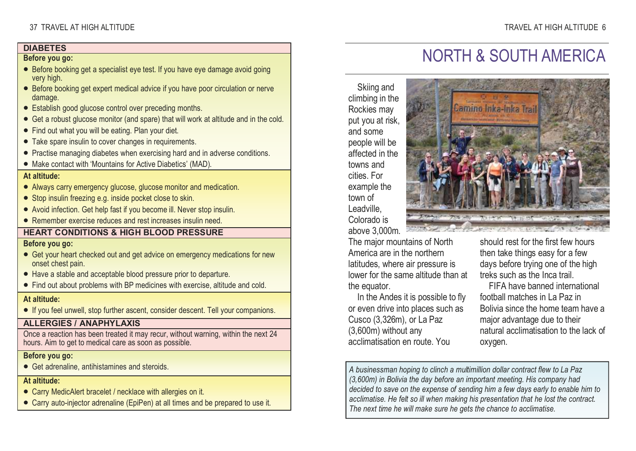### **DIABETES**

#### Before you go:

- Before booking get a specialist eye test. If you have eye damage avoid going very high.
- Before booking get expert medical advice if you have poor circulation or nerve damage.
- Establish good glucose control over preceding months.
- Get a robust glucose monitor (and spare) that will work at altitude and in the cold.
- Find out what you will be eating. Plan your diet.
- Take spare insulin to cover changes in requirements.
- Practise managing diabetes when exercising hard and in adverse conditions.
- Make contact with 'Mountains for Active Diabetics' (MAD).

### At altitude:

- Always carry emergency glucose, glucose monitor and medication.
- Stop insulin freezing e.g. inside pocket close to skin.
- Avoid infection. Get help fast if you become ill. Never stop insulin.
- Remember exercise reduces and rest increases insulin need.

### HEART CONDITIONS & HIGH BLOOD PRESSURE

#### Before you go:

- Get your heart checked out and get advice on emergency medications for new onset chest pain.
- Have a stable and acceptable blood pressure prior to departure.
- Find out about problems with BP medicines with exercise, altitude and cold.

### At altitude:

• If you feel unwell, stop further ascent, consider descent. Tell your companions.

### ALLERGIES / ANAPHYLAXIS

 Once a reaction has been treated it may recur, without warning, within the next 24 hours. Aim to get to medical care as soon as possible.

#### Before you go:

• Get adrenaline, antihistamines and steroids.

At altitude:

- Carry MedicAlert bracelet / necklace with allergies on it.
- Carry auto-injector adrenaline (EpiPen) at all times and be prepared to use it.

# NORTH & SOUTH AMERICA

Skiing and climbing in the Rockies may put you at risk, and some people will be affected in the towns and cities. For example the town of Leadville, Colorado is



 above 3,000m. The major mountains of North America are in the northern latitudes, where air pressure is lower for the same altitude than at the equator.

 In the Andes it is possible to fly or even drive into places such as Cusco (3,326m), or La Paz (3,600m) without any acclimatisation en route. You

should rest for the first few hours then take things easy for a few days before trying one of the high treks such as the Inca trail.

 FIFA have banned international football matches in La Paz in Bolivia since the home team have a major advantage due to their natural acclimatisation to the lack of oxygen.

A businessman hoping to clinch a multimillion dollar contract flew to La Paz (3,600m) in Bolivia the day before an important meeting. His company had decided to save on the expense of sending him a few days early to enable him to acclimatise. He felt so ill when making his presentation that he lost the contract. The next time he will make sure he gets the chance to acclimatise.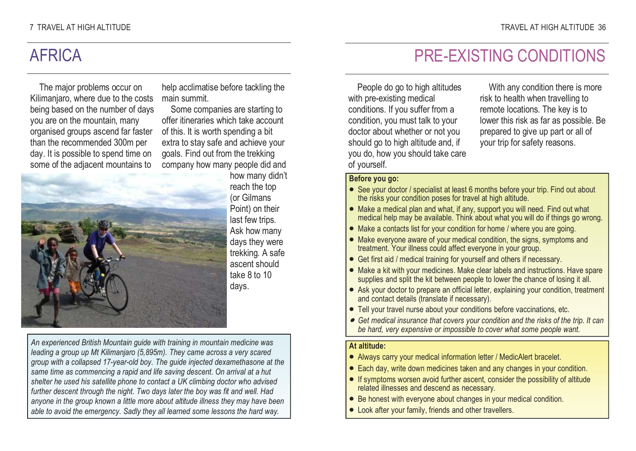### AFRICA

The major problems occur on Kilimanjaro, where due to the costs being based on the number of days you are on the mountain, many organised groups ascend far faster than the recommended 300m per day. It is possible to spend time on some of the adjacent mountains to

help acclimatise before tackling the main summit.

 Some companies are starting to offer itineraries which take account of this. It is worth spending a bit extra to stay safe and achieve your goals. Find out from the trekking company how many people did and



 how many didn't reach the top (or Gilmans Point) on their last few trips. Ask how many days they were trekking. A safe ascent should take 8 to 10 days.

An experienced British Mountain guide with training in mountain medicine was leading a group up Mt Kilimanjaro (5,895m). They came across a very scared group with a collapsed 17-year-old boy. The guide injected dexamethasone at the same time as commencing a rapid and life saving descent. On arrival at a hut shelter he used his satellite phone to contact a UK climbing doctor who advised further descent through the night. Two days later the boy was fit and well. Had anyone in the group known a little more about altitude illness they may have been able to avoid the emergency. Sadly they all learned some lessons the hard way.

## PRE-EXISTING CONDITIONS

People do go to high altitudes with pre-existing medical conditions. If you suffer from a condition, you must talk to your doctor about whether or not you should go to high altitude and, if you do, how you should take care of yourself.

With any condition there is more risk to health when travelling to remote locations. The key is to lower this risk as far as possible. Be prepared to give up part or all of your trip for safety reasons.

### Before you go:

- See your doctor / specialist at least 6 months before your trip. Find out about the risks your condition poses for travel at high altitude.
- Make a medical plan and what, if any, support you will need. Find out what medical help may be available. Think about what you will do if things go wrong.
- Make a contacts list for your condition for home / where you are going.
- Make everyone aware of your medical condition, the signs, symptoms and treatment. Your illness could affect everyone in your group.
- Get first aid / medical training for yourself and others if necessary.
- Make a kit with your medicines. Make clear labels and instructions. Have spare supplies and split the kit between people to lower the chance of losing it all.
- Ask your doctor to prepare an official letter, explaining your condition, treatment and contact details (translate if necessary).
- Tell your travel nurse about your conditions before vaccinations, etc.
- Get medical insurance that covers your condition and the risks of the trip. It can be hard, very expensive or impossible to cover what some people want.

### At altitude:

- Always carry your medical information letter / MedicAlert bracelet.
- Each day, write down medicines taken and any changes in your condition.
- If symptoms worsen avoid further ascent, consider the possibility of altitude related illnesses and descend as necessary.
- Be honest with everyone about changes in your medical condition.
- Look after your family, friends and other travellers.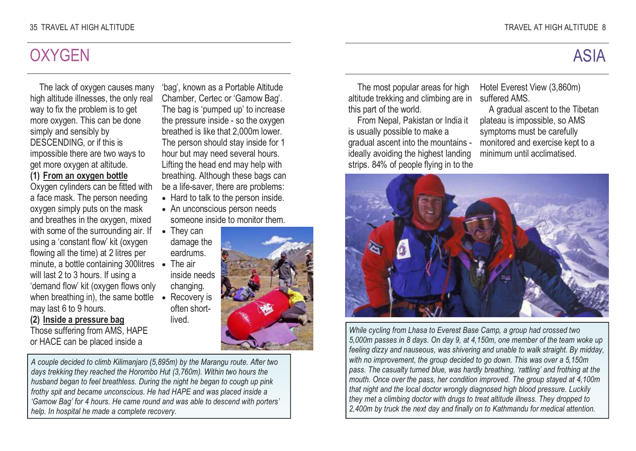### **OXYGEN**

The lack of oxygen causes many high altitude illnesses, the only real way to fix the problem is to get more oxygen. This can be done simply and sensibly by DESCENDING, or if this is impossible there are two ways to get more oxygen at altitude. (1) From an oxygen bottle

 Oxygen cylinders can be fitted with a face mask. The person needing oxygen simply puts on the mask and breathes in the oxygen, mixed with some of the surrounding air. If using a 'constant flow' kit (oxygen flowing all the time) at 2 litres per minute, a bottle containing 300litres • The air will last 2 to 3 hours. If using a 'demand flow' kit (oxygen flows only when breathing in), the same bottle may last 6 to 9 hours.

### (2) Inside a pressure bag

 Those suffering from AMS, HAPE or HACE can be placed inside a

'bag', known as a Portable Altitude Chamber, Certec or 'Gamow Bag'. The bag is 'pumped up' to increase the pressure inside - so the oxygen breathed is like that 2,000m lower. The person should stay inside for 1 hour but may need several hours. Lifting the head end may help with breathing. Although these bags can be a life-saver, there are problems:

- Hard to talk to the person inside.
- An unconscious person needs someone inside to monitor them.
- They can damage the eardrums.
- inside needs changing.
- Recovery is often shortlived.



A couple decided to climb Kilimanjaro (5,895m) by the Marangu route. After two days trekking they reached the Horombo Hut (3,760m). Within two hours the husband began to feel breathless. During the night he began to cough up pink frothy spit and became unconscious. He had HAPE and was placed inside a 'Gamow Bag' for 4 hours. He came round and was able to descend with porters' help. In hospital he made a complete recovery.

# ASIA

The most popular areas for high altitude trekking and climbing are in this part of the world.

 From Nepal, Pakistan or India it is usually possible to make a gradual ascent into the mountains ideally avoiding the highest landing strips. 84% of people flying in to the

Hotel Everest View (3,860m) suffered AMS.

 A gradual ascent to the Tibetan plateau is impossible, so AMS symptoms must be carefully monitored and exercise kept to a minimum until acclimatised.



While cycling from Lhasa to Everest Base Camp, a group had crossed two 5,000m passes in 8 days. On day 9, at 4,150m, one member of the team woke up feeling dizzy and nauseous, was shivering and unable to walk straight. By midday, with no improvement, the group decided to go down. This was over a 5,150m pass. The casualty turned blue, was hardly breathing, 'rattling' and frothing at the mouth. Once over the pass, her condition improved. The group stayed at 4,100m that night and the local doctor wrongly diagnosed high blood pressure. Luckily they met a climbing doctor with drugs to treat altitude illness. They dropped to 2,400m by truck the next day and finally on to Kathmandu for medical attention.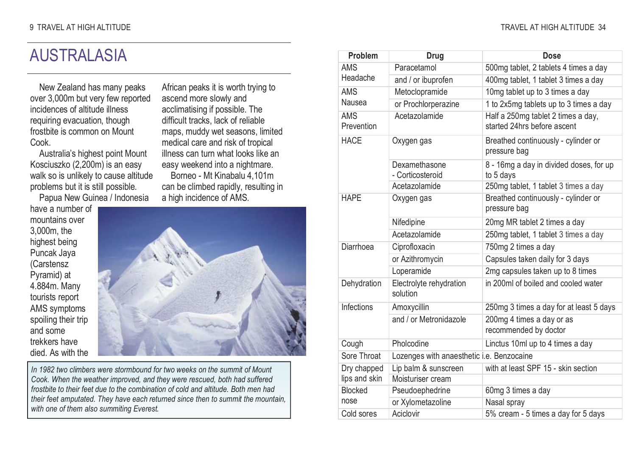### AUSTRALASIA

New Zealand has many peaks over 3,000m but very few reported incidences of altitude illness requiring evacuation, though frostbite is common on Mount Cook.

 Australia's highest point Mount Kosciuszko (2,200m) is an easy walk so is unlikely to cause altitude problems but it is still possible.

Papua New Guinea / Indonesia

have a number of mountains over 3,000m, the highest being Puncak Jaya (Carstensz Pyramid) at 4.884m. Many tourists report AMS symptoms spoiling their trip and some trekkers have died. As with the

African peaks it is worth trying to ascend more slowly and acclimatising if possible. The difficult tracks, lack of reliable maps, muddy wet seasons, limited medical care and risk of tropical illness can turn what looks like an easy weekend into a nightmare. Borneo - Mt Kinabalu 4,101m can be climbed rapidly, resulting in a high incidence of AMS.



In 1982 two climbers were stormbound for two weeks on the summit of Mount Cook. When the weather improved, and they were rescued, both had suffered frostbite to their feet due to the combination of cold and altitude. Both men had their feet amputated. They have each returned since then to summit the mountain, with one of them also summiting Everest.

| Problem                  | Drug                                      | Dose                                                              |
|--------------------------|-------------------------------------------|-------------------------------------------------------------------|
| AMS                      | Paracetamol                               | 500mg tablet, 2 tablets 4 times a day                             |
| Headache                 | and / or ibuprofen                        | 400mg tablet, 1 tablet 3 times a day                              |
| <b>AMS</b>               | Metoclopramide                            | 10mg tablet up to 3 times a day                                   |
| Nausea                   | or Prochlorperazine                       | 1 to 2x5mg tablets up to 3 times a day                            |
| <b>AMS</b><br>Prevention | Acetazolamide                             | Half a 250mg tablet 2 times a day,<br>started 24hrs before ascent |
| <b>HACF</b>              | Oxygen gas                                | Breathed continuously - cylinder or<br>pressure bag               |
|                          | Dexamethasone<br>- Corticosteroid         | 8 - 16mg a day in divided doses, for up<br>to 5 days              |
|                          | Acetazolamide                             | 250mg tablet, 1 tablet 3 times a day                              |
| <b>HAPF</b>              | Oxygen gas                                | Breathed continuously - cylinder or<br>pressure bag               |
|                          | Nifedipine                                | 20mg MR tablet 2 times a day                                      |
|                          | Acetazolamide                             | 250mg tablet, 1 tablet 3 times a day                              |
| Diarrhoea                | Ciprofloxacin                             | 750mg 2 times a day                                               |
|                          | or Azithromycin                           | Capsules taken daily for 3 days                                   |
|                          | Loperamide                                | 2mg capsules taken up to 8 times                                  |
| Dehydration              | Electrolyte rehydration<br>solution       | in 200ml of boiled and cooled water                               |
| Infections               | Amoxycillin                               | 250mg 3 times a day for at least 5 days                           |
|                          | and / or Metronidazole                    | 200mg 4 times a day or as<br>recommended by doctor                |
| Cough                    | Pholcodine                                | Linctus 10ml up to 4 times a day                                  |
| Sore Throat              | Lozenges with anaesthetic i.e. Benzocaine |                                                                   |
| Dry chapped              | Lip balm & sunscreen                      | with at least SPF 15 - skin section                               |
| lips and skin            | Moisturiser cream                         |                                                                   |
| Blocked                  | Pseudoephedrine                           | 60mg 3 times a day                                                |
| nose                     | or Xylometazoline                         | Nasal spray                                                       |
| Cold sores               | Aciclovir                                 | 5% cream - 5 times a day for 5 days                               |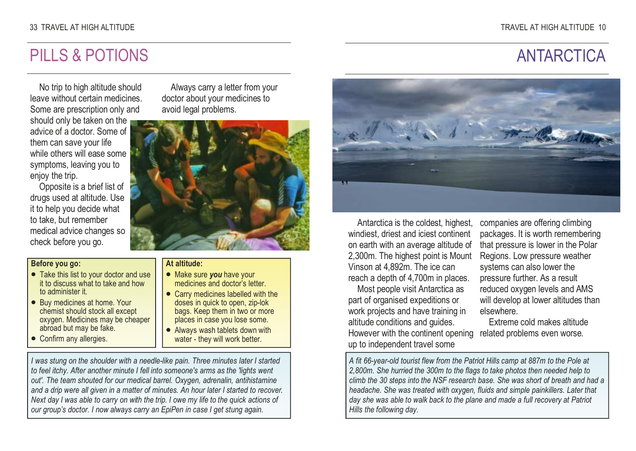### 33 TRAVEL AT HIGH ALTITUDE

### PILLS & POTIONS

# **ANTARCTICA**

No trip to high altitude should leave without certain medicines. Some are prescription only and should only be taken on the advice of a doctor. Some of them can save your life while others will ease some symptoms, leaving you to enjoy the trip.

 Opposite is a brief list of drugs used at altitude. Use it to help you decide what to take, but remember medical advice changes so check before you go.

#### Before you go:

- Take this list to your doctor and use it to discuss what to take and how to administer it.
- Buy medicines at home. Your chemist should stock all except oxygen. Medicines may be cheaper abroad but may be fake.
- Confirm any allergies.

Always carry a letter from your doctor about your medicines to avoid legal problems.



#### At altitude:

- Make sure you have your medicines and doctor's letter.
- Carry medicines labelled with the doses in quick to open, zip-lok bags. Keep them in two or more places in case you lose some.
- Always wash tablets down with water - they will work better.

I was stung on the shoulder with a needle-like pain. Three minutes later I started to feel itchy. After another minute I fell into someone's arms as the 'lights went out'. The team shouted for our medical barrel. Oxygen, adrenalin, antihistamine and a drip were all given in a matter of minutes. An hour later I started to recover. Next day I was able to carry on with the trip. I owe my life to the quick actions of our group's doctor. I now always carry an EpiPen in case I get stung again.



Antarctica is the coldest, highest, windiest, driest and iciest continent on earth with an average altitude of 2,300m. The highest point is Mount Vinson at 4,892m. The ice can reach a depth of 4,700m in places.

Most people visit Antarctica as part of organised expeditions or work projects and have training in altitude conditions and guides. However with the continent opening related problems even worse. up to independent travel some

companies are offering climbing packages. It is worth remembering that pressure is lower in the Polar Regions. Low pressure weather systems can also lower the pressure further. As a result reduced oxygen levels and AMS will develop at lower altitudes than elsewhere.

Extreme cold makes altitude

A fit 66-year-old tourist flew from the Patriot Hills camp at 887m to the Pole at 2,800m. She hurried the 300m to the flags to take photos then needed help to climb the 30 steps into the NSF research base. She was short of breath and had a headache. She was treated with oxygen, fluids and simple painkillers. Later that day she was able to walk back to the plane and made a full recovery at Patriot Hills the following day.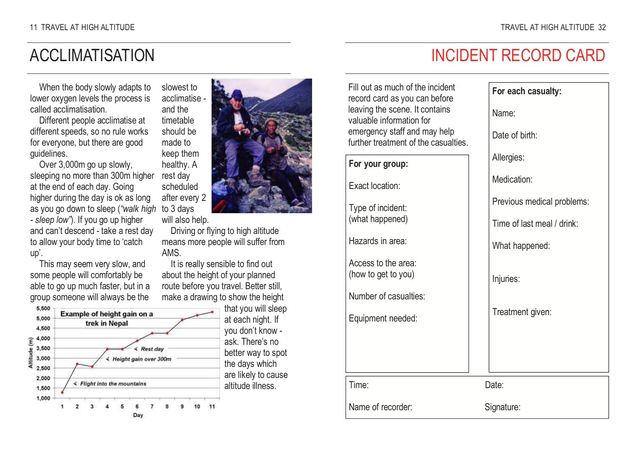### ACCLIMATISATION

When the body slowly adapts to lower oxygen levels the process is called acclimatisation.

 Different people acclimatise at different speeds, so no rule works for everyone, but there are good guidelines.

 Over 3,000m go up slowly, sleeping no more than 300m higher at the end of each day. Going higher during the day is ok as long as you go down to sleep ("walk high to 3 days - sleep low"). If you go up higher and can't descend - take a rest day to allow your body time to 'catch up'.

 This may seem very slow, and some people will comfortably be able to go up much faster, but in a group someone will always be the





will also help.

and the timetable

made to

rest day

 Driving or flying to high altitude means more people will suffer from AMS.

 It is really sensible to find out about the height of your planned route before you travel. Better still, make a drawing to show the height that you will sleep

at each night. If you don't know ask. There's no better way to spot the days which are likely to cause altitude illness.

### INCIDENT RECORD CARD

For each casualty:

Fill out as much of the incident record card as you can before leaving the scene. It contains valuable information for emergency staff and may help further treatment of the casualties.

### For your group:

Exact location:

Type of incident: (what happened)

Hazards in area:

Access to the area: (how to get to you)

Number of casualties:

Equipment needed:

Time: Date:

Name of recorder: Signature:

Name: Date of birth: Allergies: Medication:

Previous medical problems:

Time of last meal / drink:

What happened:

Injuries:

Treatment given: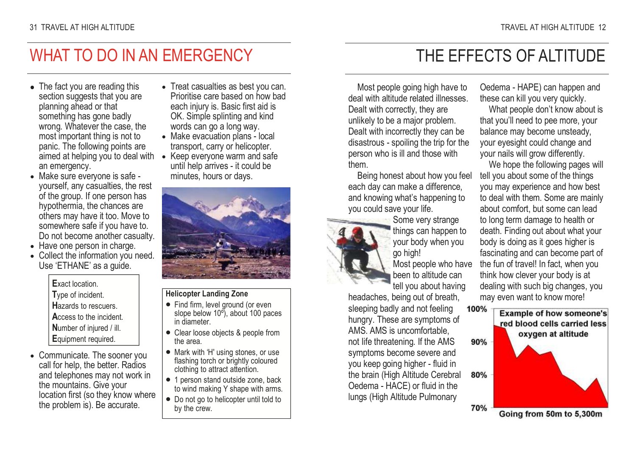### WHAT TO DO IN AN EMERGENCY

- The fact you are reading this section suggests that you are planning ahead or that something has gone badly wrong. Whatever the case, the most important thing is not to panic. The following points are aimed at helping you to deal with • Keep everyone warm and safe an emergency.
- Make sure everyone is safe yourself, any casualties, the rest of the group. If one person has hypothermia, the chances are others may have it too. Move to somewhere safe if you have to. Do not become another casualty.
- Have one person in charge.
- Collect the information you need. Use 'ETHANE' as a guide.

Exact location. Type of incident. Hazards to rescuers. Access to the incident. Number of injured / ill. Equipment required.

• Communicate. The sooner you call for help, the better. Radios and telephones may not work in the mountains. Give your location first (so they know where the problem is). Be accurate.

- Treat casualties as best you can. Prioritise care based on how bad each injury is. Basic first aid is OK. Simple splinting and kind words can go a long way.
- Make evacuation plans local transport, carry or helicopter.
- until help arrives it could be minutes, hours or days.



### Helicopter Landing Zone

- Find firm, level ground (or even slope below 10º), about 100 paces in diameter.
- Clear loose objects & people from the area.
- Mark with 'H' using stones, or use flashing torch or brightly coloured clothing to attract attention.
- 1 person stand outside zone, back to wind making Y shape with arms.
- Do not go to helicopter until told to by the crew.

### THE EFFECTS OF ALTITUDE

Most people going high have to deal with altitude related illnesses. Dealt with correctly, they are unlikely to be a major problem. Dealt with incorrectly they can be disastrous - spoiling the trip for the person who is ill and those with them.

 Being honest about how you feel each day can make a difference, and knowing what's happening to you could save your life.



 Some very strange things can happen to your body when you go high!

 Most people who have been to altitude can tell you about having

headaches, being out of breath, sleeping badly and not feeling hungry. These are symptoms of AMS. AMS is uncomfortable, not life threatening. If the AMS symptoms become severe and you keep going higher - fluid in the brain (High Altitude Cerebral Oedema - HACE) or fluid in the lungs (High Altitude Pulmonary

Oedema - HAPE) can happen and these can kill you very quickly.

 What people don't know about is that you'll need to pee more, your balance may become unsteady, your eyesight could change and your nails will grow differently.

 We hope the following pages will tell you about some of the things you may experience and how best to deal with them. Some are mainly about comfort, but some can lead to long term damage to health or death. Finding out about what your body is doing as it goes higher is fascinating and can become part of the fun of travel! In fact, when you think how clever your body is at dealing with such big changes, you may even want to know more!



Going from 50m to 5,300m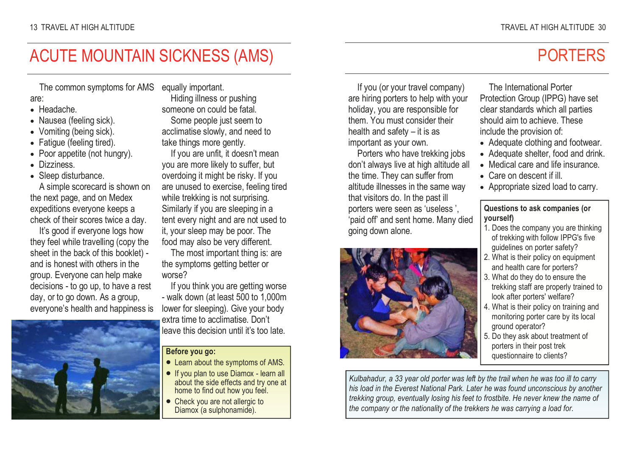### ACUTE MOUNTAIN SICKNESS (AMS)

The common symptoms for AMS equally important.

### are:

- Headache.
- Nausea (feeling sick).
- Vomiting (being sick).
- Fatigue (feeling tired).
- Poor appetite (not hungry).
- Dizziness.
- Sleep disturbance.

 A simple scorecard is shown on the next page, and on Medex expeditions everyone keeps a check of their scores twice a day.

It's good if everyone logs how they feel while travelling (copy the sheet in the back of this booklet) and is honest with others in the group. Everyone can help make decisions - to go up, to have a rest day, or to go down. As a group, everyone's health and happiness is



 Hiding illness or pushing someone on could be fatal. Some people just seem to acclimatise slowly, and need to take things more gently.

 If you are unfit, it doesn't mean you are more likely to suffer, but overdoing it might be risky. If you are unused to exercise, feeling tired while trekking is not surprising. Similarly if you are sleeping in a tent every night and are not used to it, your sleep may be poor. The food may also be very different.

 The most important thing is: are the symptoms getting better or worse?

 If you think you are getting worse - walk down (at least 500 to 1,000m lower for sleeping). Give your body extra time to acclimatise. Don't leave this decision until it's too late.

#### Before you go:

- Learn about the symptoms of AMS.
- If you plan to use Diamox learn all about the side effects and try one at home to find out how you feel.
- Check you are not allergic to Diamox (a sulphonamide).

If you (or your travel company) are hiring porters to help with your holiday, you are responsible for them. You must consider their health and safety – it is as important as your own.

 Porters who have trekking jobs don't always live at high altitude all the time. They can suffer from altitude illnesses in the same way that visitors do. In the past ill porters were seen as 'useless ', 'paid off' and sent home. Many died going down alone.



### The International Porter Protection Group (IPPG) have set clear standards which all parties should aim to achieve. These include the provision of:

- Adequate clothing and footwear.
- Adequate shelter, food and drink.
- Medical care and life insurance.
- Care on descent if ill.
- Appropriate sized load to carry.

### Questions to ask companies (or yourself)

- 1. Does the company you are thinking of trekking with follow IPPG's five quidelines on porter safety?
- 2. What is their policy on equipment and health care for porters?
- 3. What do they do to ensure the trekking staff are properly trained to look after porters' welfare?
- 4. What is their policy on training and monitoring porter care by its local ground operator?
- 5. Do they ask about treatment of porters in their post trek questionnaire to clients?

Kulbahadur, a 33 year old porter was left by the trail when he was too ill to carry his load in the Everest National Park. Later he was found unconscious by another trekking group, eventually losing his feet to frostbite. He never knew the name of the company or the nationality of the trekkers he was carrying a load for.

### PORTERS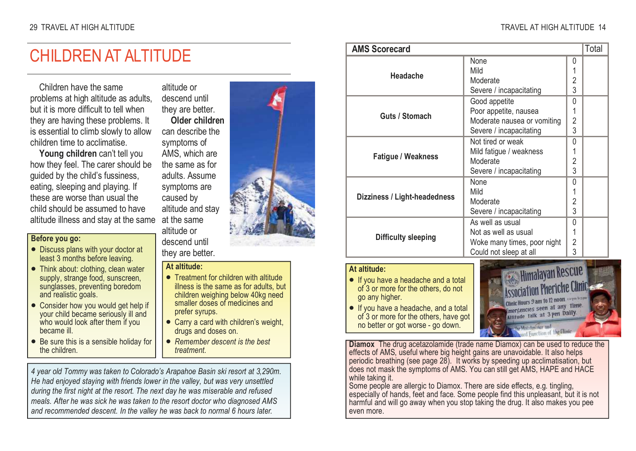### CHILDREN AT ALTITUDE

Children have the same problems at high altitude as adults, but it is more difficult to tell when they are having these problems. It is essential to climb slowly to allow children time to acclimatise.

Young children can't tell you how they feel. The carer should be guided by the child's fussiness, eating, sleeping and playing. If these are worse than usual the child should be assumed to have altitude illness and stay at the same

### Before you go:

- Discuss plans with your doctor at least 3 months before leaving.
- Think about: clothing, clean water supply, strange food, sunscreen, sunglasses, preventing boredom and realistic goals.
- Consider how you would get help if your child became seriously ill and who would look after them if you became ill.
- Be sure this is a sensible holiday for the children.

altitude or descend until they are better.

 Older children can describe the symptoms of AMS, which are the same as for adults. Assume symptoms are caused by altitude and stay at the same altitude or descend until

they are better.

#### At altitude:

- Treatment for children with altitude illness is the same as for adults, but children weighing below 40kg need smaller doses of medicines and prefer syrups.
- Carry a card with children's weight, drugs and doses on.
- Remember descent is the best treatment.

4 year old Tommy was taken to Colorado's Arapahoe Basin ski resort at 3,290m. He had enjoyed staying with friends lower in the valley, but was very unsettled during the first night at the resort. The next day he was miserable and refused meals. After he was sick he was taken to the resort doctor who diagnosed AMS and recommended descent. In the valley he was back to normal 6 hours later.



| Total<br><b>AMS Scorecard</b>                                                                                 |                                                                                                                  |  |  |  |  |  |
|---------------------------------------------------------------------------------------------------------------|------------------------------------------------------------------------------------------------------------------|--|--|--|--|--|
| Headache                                                                                                      | None<br>0<br>Mild<br>Moderate<br>2<br>3<br>Severe / incapacitating                                               |  |  |  |  |  |
| Guts / Stomach                                                                                                | Good appetite<br>0<br>Poor appetite, nausea<br>Moderate nausea or vomiting<br>2<br>3<br>Severe / incapacitating  |  |  |  |  |  |
| <b>Fatigue / Weakness</b>                                                                                     | Not tired or weak<br>0<br>Mild fatigue / weakness<br>Moderate<br>2<br>3<br>Severe / incapacitating               |  |  |  |  |  |
| Dizziness / Light-headedness                                                                                  | <b>None</b><br>0<br>Mild<br>Moderate<br>2<br>3<br>Severe / incapacitating                                        |  |  |  |  |  |
| Difficulty sleeping                                                                                           | As well as usual<br>0<br>Not as well as usual<br>2<br>Woke many times, poor night<br>3<br>Could not sleep at all |  |  |  |  |  |
| At altitude:<br>• If you have a headache and a total<br>of 3 or more for the others, do not<br>go any higher. | <b>Himalayan Rescue</b><br>ociation Pheriche Clinic<br>Hours 9 am to 12 1100ff. Depm hoym                        |  |  |  |  |  |

• If you have a headache, and a total of 3 or more for the others, have got no better or got worse - go down.

inic Hours 2 am to 12 hours<br>mergencies seen at any 11h Emergencies seen as any

Diamox The drug acetazolamide (trade name Diamox) can be used to reduce the effects of AMS, useful where big height gains are unavoidable. It also helps periodic breathing (see page 28). It works by speeding up acclimatisation, but does not mask the symptoms of AMS. You can still get AMS, HAPE and HACE while taking it.

 Some people are allergic to Diamox. There are side effects, e.g. tingling, especially of hands, feet and face. Some people find this unpleasant, but it is not harmful and will go away when you stop taking the drug. It also makes you pee even more.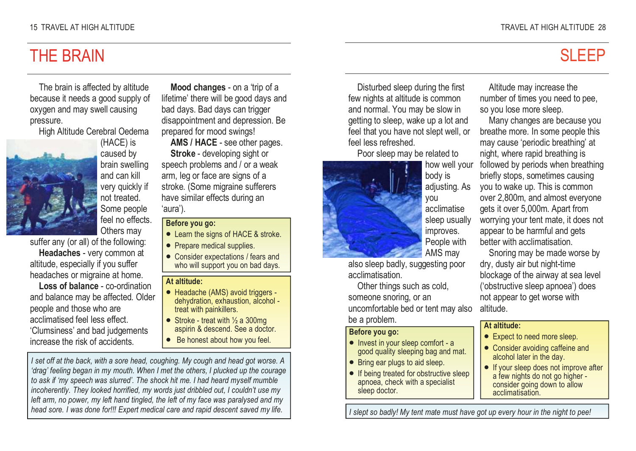### THE BRAIN

The brain is affected by altitude because it needs a good supply of oxygen and may swell causing pressure.

High Altitude Cerebral Oedema



(HACE) is caused by brain swelling and can kill very quickly if not treated. Some people feel no effects.

Others may suffer any (or all) of the following: Headaches - very common at

altitude, especially if you suffer headaches or migraine at home.

Loss of balance - co-ordination and balance may be affected. Older people and those who are acclimatised feel less effect. 'Clumsiness' and bad judgements increase the risk of accidents.

Mood changes - on a 'trip of a lifetime' there will be good days and bad days. Bad days can trigger disappointment and depression. Be prepared for mood swings!

AMS / HACE - see other pages. Stroke - developing sight or speech problems and / or a weak arm, leg or face are signs of a stroke. (Some migraine sufferers have similar effects during an 'aura').

### Before you go:

- Learn the signs of HACE & stroke.
- Prepare medical supplies.
- Consider expectations / fears and who will support you on bad days.

### At altitude:

- Headache (AMS) avoid triggers dehydration, exhaustion, alcohol treat with painkillers.
- Stroke treat with  $\frac{1}{2}$  a 300mg aspirin & descend. See a doctor.
- Be honest about how you feel.

I set off at the back, with a sore head, coughing. My cough and head got worse. A 'drag' feeling began in my mouth. When I met the others, I plucked up the courage to ask if 'my speech was slurred'. The shock hit me. I had heard myself mumble incoherently. They looked horrified, my words just dribbled out, I couldn't use my left arm, no power, my left hand tingled, the left of my face was paralysed and my head sore. I was done for!!! Expert medical care and rapid descent saved my life.

Disturbed sleep during the first few nights at altitude is common and normal. You may be slow in getting to sleep, wake up a lot and feel that you have not slept well, or feel less refreshed.

 Poor sleep may be related to how well your

> body is adjusting. As you acclimatise sleep usually improves. People with AMS may



 also sleep badly, suggesting poor acclimatisation.

 Other things such as cold, someone snoring, or an uncomfortable bed or tent may also be a problem.

### Before you go:

- Invest in your sleep comfort a good quality sleeping bag and mat.
- Bring ear plugs to aid sleep.
- If being treated for obstructive sleep apnoea, check with a specialist sleep doctor.

Altitude may increase the number of times you need to pee, so you lose more sleep.

 Many changes are because you breathe more. In some people this may cause 'periodic breathing' at night, where rapid breathing is followed by periods when breathing briefly stops, sometimes causing you to wake up. This is common over 2,800m, and almost everyone gets it over 5,000m. Apart from worrying your tent mate, it does not appear to be harmful and gets better with acclimatisation.

 Snoring may be made worse by dry, dusty air but night-time blockage of the airway at sea level ('obstructive sleep apnoea') does not appear to get worse with altitude.

### At altitude:

- Expect to need more sleep.
- Consider avoiding caffeine and alcohol later in the day.
- If your sleep does not improve after a few nights do not go higher consider going down to allow acclimatisation.

I slept so badly! My tent mate must have got up every hour in the night to pee!

# **SLEEP**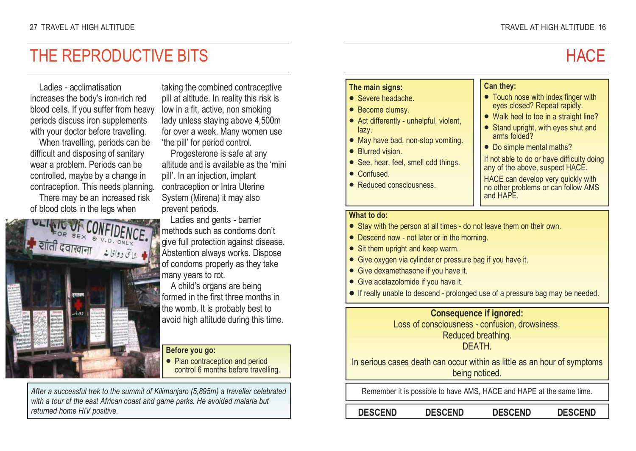### Ladies - acclimatisation increases the body's iron-rich red blood cells. If you suffer from heavy periods discuss iron supplements with your doctor before travelling.

THE REPRODUCTIVE BITS

 When travelling, periods can be difficult and disposing of sanitary wear a problem. Periods can be controlled, maybe by a change in contraception. This needs planning. There may be an increased risk

of blood clots in the legs when



taking the combined contraceptive pill at altitude. In reality this risk is low in a fit, active, non smoking lady unless staying above 4,500m for over a week. Many women use 'the pill' for period control.

 Progesterone is safe at any altitude and is available as the 'mini pill'. In an injection, implant contraception or Intra Uterine System (Mirena) it may also prevent periods.

 Ladies and gents - barrier methods such as condoms don't give full protection against disease. Abstention always works. Dispose of condoms properly as they take many years to rot.

 A child's organs are being formed in the first three months in the womb. It is probably best to avoid high altitude during this time.

### Before you go:

• Plan contraception and period control 6 months before travelling.

After a successful trek to the summit of Kilimanjaro (5,895m) a traveller celebrated with a tour of the east African coast and game parks. He avoided malaria but returned home HIV positive.

### The main signs:

- Severe headache.
- Become clumsy.
- Act differently unhelpful, violent, lazy.
- May have bad, non-stop vomiting.
- Blurred vision
- See, hear, feel, smell odd things.
- Confused.
- Reduced consciousness.

### Can they:

- Touch nose with index finger with eyes closed? Repeat rapidly.
- Walk heel to toe in a straight line?
- Stand upright, with eyes shut and arms folded?
- Do simple mental maths?

If not able to do or have difficulty doing any of the above, suspect HACE.

HACE can develop very quickly with no other problems or can follow AMS and HAPE.

### What to do:

- Stay with the person at all times do not leave them on their own.
- Descend now not later or in the morning.
- Sit them upright and keep warm.
- Give oxygen via cylinder or pressure bag if you have it.
- Give dexamethasone if you have it.
- Give acetazolomide if you have it.
- If really unable to descend prolonged use of a pressure bag may be needed.

### Consequence if ignored:

Loss of consciousness - confusion, drowsiness.

Reduced breathing.

### DEATH.

In serious cases death can occur within as little as an hour of symptoms being noticed.

Remember it is possible to have AMS, HACE and HAPE at the same time.

DESCEND DESCEND DESCEND DESCEND

### **HACF**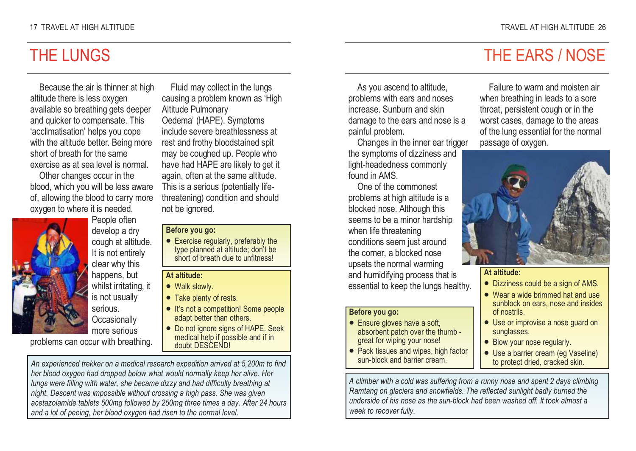### THE LUNGS

Because the air is thinner at high altitude there is less oxygen available so breathing gets deeper and quicker to compensate. This 'acclimatisation' helps you cope with the altitude better. Being more short of breath for the same exercise as at sea level is normal.

Other changes occur in the blood, which you will be less aware of, allowing the blood to carry more oxygen to where it is needed.



 People often develop a dry cough at altitude. It is not entirely clear why this happens, but whilst irritating, it is not usually serious. **Occasionally** more serious

problems can occur with breathing.

Fluid may collect in the lungs causing a problem known as 'High Altitude Pulmonary Oedema' (HAPE). Symptoms include severe breathlessness at rest and frothy bloodstained spit may be coughed up. People who have had HAPE are likely to get it again, often at the same altitude. This is a serious (potentially lifethreatening) condition and should not be ignored.

#### Before you go:

• Exercise regularly, preferably the type planned at altitude; don't be short of breath due to unfitness!

#### At altitude:

- Walk slowly.
- Take plenty of rests.
- It's not a competition! Some people adapt better than others.
- Do not ignore signs of HAPE. Seek medical help if possible and if in doubt DESCEND!

An experienced trekker on a medical research expedition arrived at 5,200m to find her blood oxygen had dropped below what would normally keep her alive. Her lungs were filling with water, she became dizzy and had difficulty breathing at night. Descent was impossible without crossing a high pass. She was given acetazolamide tablets 500mg followed by 250mg three times a day. After 24 hours and a lot of peeing, her blood oxygen had risen to the normal level.

As you ascend to altitude, problems with ears and noses increase. Sunburn and skin damage to the ears and nose is a painful problem.

 Changes in the inner ear trigger the symptoms of dizziness and light-headedness commonly found in AMS.

 One of the commonest problems at high altitude is a blocked nose. Although this seems to be a minor hardship when life threatening conditions seem just around the corner, a blocked nose upsets the normal warming and humidifying process that is essential to keep the lungs healthy.

### Before you go:

- Ensure gloves have a soft, absorbent patch over the thumb great for wiping your nose!
- Pack tissues and wipes, high factor sun-block and barrier cream.

Failure to warm and moisten air when breathing in leads to a sore throat, persistent cough or in the worst cases, damage to the areas of the lung essential for the normal passage of oxygen.



#### At altitude:

- Dizziness could be a sign of AMS.
- Wear a wide brimmed hat and use sunblock on ears, nose and insides of nostrils.
- Use or improvise a nose guard on sunglasses.
- Blow your nose regularly.
- Use a barrier cream (eg Vaseline) to protect dried, cracked skin.

A climber with a cold was suffering from a runny nose and spent 2 days climbing Ramtang on glaciers and snowfields. The reflected sunlight badly burned the underside of his nose as the sun-block had been washed off. It took almost a week to recover fully.

# THE EARS / NOSE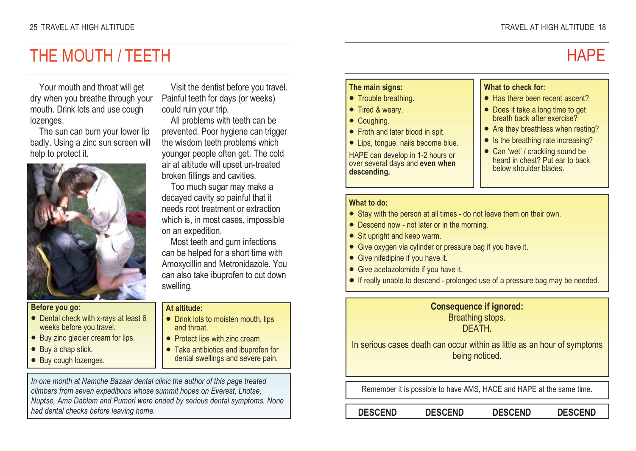### THE MOUTH / TEETH

Your mouth and throat will get dry when you breathe through your mouth. Drink lots and use cough lozenges.

 The sun can burn your lower lip badly. Using a zinc sun screen will help to protect it.



### Before you go:

- Dental check with x-rays at least 6 weeks before you travel.
- Buy zinc glacier cream for lips.
- Buy a chap stick.
- Buy cough lozenges.

Visit the dentist before you travel. Painful teeth for days (or weeks) could ruin your trip.

 All problems with teeth can be prevented. Poor hygiene can trigger the wisdom teeth problems which younger people often get. The cold air at altitude will upset un-treated broken fillings and cavities.

 Too much sugar may make a decayed cavity so painful that it needs root treatment or extraction which is, in most cases, impossible on an expedition.

 Most teeth and gum infections can be helped for a short time with Amoxycillin and Metronidazole. You can also take ibuprofen to cut down swelling.

### At altitude:

- Drink lots to moisten mouth, lips and throat.
- Protect lips with zinc cream.
- Take antibiotics and ibuprofen for dental swellings and severe pain.

In one month at Namche Bazaar dental clinic the author of this page treated climbers from seven expeditions whose summit hopes on Everest, Lhotse, Nuptse, Ama Dablam and Pumori were ended by serious dental symptoms. None had dental checks before leaving home.

### The main signs:

- Trouble breathing.
- Tired & weary.
- Coughing.
- Froth and later blood in spit.
- Lips, tongue, nails become blue.

HAPE can develop in 1-2 hours or over several days and even when descending.

### What to check for:

- Has there been recent ascent?
- Does it take a long time to get breath back after exercise?
- Are they breathless when resting?
- Is the breathing rate increasing?
- Can 'wet' / crackling sound be heard in chest? Put ear to back below shoulder blades.

### What to do:

- Stay with the person at all times do not leave them on their own.
- Descend now not later or in the morning.
- Sit upright and keep warm.
- Give oxygen via cylinder or pressure bag if you have it.
- Give nifedipine if you have it.
- Give acetazolomide if you have it.
- If really unable to descend prolonged use of a pressure bag may be needed.

### Consequence if ignored: Breathing stops.

DEATH.

In serious cases death can occur within as little as an hour of symptoms being noticed.

Remember it is possible to have AMS, HACE and HAPE at the same time.

DESCEND DESCEND DESCEND DESCEND

# **HAPF**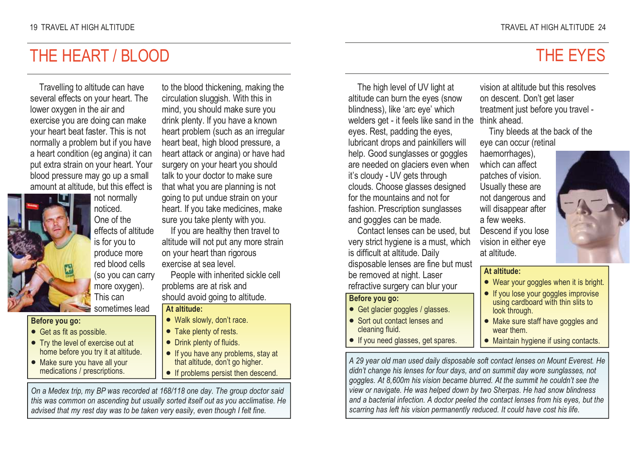### THE HEART / BLOOD

Travelling to altitude can have several effects on your heart. The lower oxygen in the air and exercise you are doing can make your heart beat faster. This is not normally a problem but if you have a heart condition (eg angina) it can put extra strain on your heart. Your blood pressure may go up a small amount at altitude, but this effect is



not normally noticed. One of the effects of altitude is for you to produce more red blood cells (so you can carry more oxygen). This can

sometimes lead

### Before you go:

- Get as fit as possible.
- Try the level of exercise out at home before you try it at altitude.
- Make sure you have all your medications / prescriptions.

to the blood thickening, making the circulation sluggish. With this in mind, you should make sure you drink plenty. If you have a known heart problem (such as an irregular heart beat, high blood pressure, a heart attack or angina) or have had surgery on your heart you should talk to your doctor to make sure that what you are planning is not going to put undue strain on your heart. If you take medicines, make sure you take plenty with you.

 If you are healthy then travel to altitude will not put any more strain on your heart than rigorous exercise at sea level.

 People with inherited sickle cell problems are at risk and should avoid going to altitude.

### At altitude:

- Walk slowly, don't race.
- Take plenty of rests.
- Drink plenty of fluids.
- If you have any problems, stay at that altitude, don't go higher.
- If problems persist then descend.

On a Medex trip, my BP was recorded at 168/118 one day. The group doctor said this was common on ascending but usually sorted itself out as you acclimatise. He advised that my rest day was to be taken very easily, even though I felt fine.

### THE EYES

The high level of UV light at altitude can burn the eyes (snow blindness), like 'arc eye' which welders get - it feels like sand in the think ahead. eyes. Rest, padding the eyes, lubricant drops and painkillers will help. Good sunglasses or goggles are needed on glaciers even when it's cloudy - UV gets through clouds. Choose glasses designed for the mountains and not for fashion. Prescription sunglasses and goggles can be made.

 Contact lenses can be used, but very strict hygiene is a must, which is difficult at altitude. Daily disposable lenses are fine but must be removed at night. Laser refractive surgery can blur your

#### Before you go:

- Get glacier goggles / glasses.
- Sort out contact lenses and cleaning fluid.
- **•** If you need glasses, get spares.

vision at altitude but this resolves on descent. Don't get laser treatment just before you travel -

 Tiny bleeds at the back of the eye can occur (retinal

haemorrhages), which can affect patches of vision. Usually these are not dangerous and will disappear after a few weeks. Descend if you lose vision in either eye at altitude.



### At altitude:

- Wear your goggles when it is bright.
- If you lose your goggles improvise using cardboard with thin slits to look through.
- Make sure staff have goggles and wear them.
- Maintain hygiene if using contacts.

A 29 year old man used daily disposable soft contact lenses on Mount Everest. He didn't change his lenses for four days, and on summit day wore sunglasses, not goggles. At 8,600m his vision became blurred. At the summit he couldn't see the view or navigate. He was helped down by two Sherpas. He had snow blindness and a bacterial infection. A doctor peeled the contact lenses from his eyes, but the scarring has left his vision permanently reduced. It could have cost his life.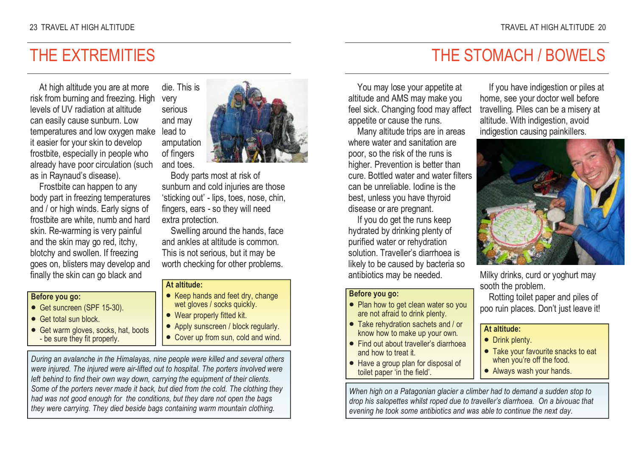### THE EXTREMITIES

At high altitude you are at more risk from burning and freezing. High levels of UV radiation at altitude can easily cause sunburn. Low temperatures and low oxygen make it easier for your skin to develop frostbite, especially in people who already have poor circulation (such as in Raynaud's disease).

 Frostbite can happen to any body part in freezing temperatures and / or high winds. Early signs of frostbite are white, numb and hard skin. Re-warming is very painful and the skin may go red, itchy, blotchy and swollen. If freezing goes on, blisters may develop and finally the skin can go black and

#### Before you go:

- Get suncreen (SPF 15-30).
- Get total sun block
- Get warm gloves, socks, hat, boots - be sure they fit properly.



 Body parts most at risk of sunburn and cold injuries are those 'sticking out' - lips, toes, nose, chin, fingers, ears - so they will need extra protection.

 Swelling around the hands, face and ankles at altitude is common. This is not serious, but it may be worth checking for other problems.

### At altitude:

very serious

lead to

- Keep hands and feet dry, change wet gloves / socks quickly.
- Wear properly fitted kit.
- Apply sunscreen / block regularly.
- Cover up from sun, cold and wind.

During an avalanche in the Himalayas, nine people were killed and several others were injured. The injured were air-lifted out to hospital. The porters involved were left behind to find their own way down, carrying the equipment of their clients. Some of the porters never made it back, but died from the cold. The clothing they had was not good enough for the conditions, but they dare not open the bags they were carrying. They died beside bags containing warm mountain clothing.

### THE STOMACH / BOWELS

You may lose your appetite at altitude and AMS may make you feel sick. Changing food may affect appetite or cause the runs.

 Many altitude trips are in areas where water and sanitation are poor, so the risk of the runs is higher. Prevention is better than cure. Bottled water and water filters can be unreliable. Iodine is the best, unless you have thyroid disease or are pregnant.

 If you do get the runs keep hydrated by drinking plenty of purified water or rehydration solution. Traveller's diarrhoea is likely to be caused by bacteria so antibiotics may be needed.

#### Before you go:

- Plan how to get clean water so you are not afraid to drink plenty.
- Take rehydration sachets and / or know how to make up your own.
- Find out about traveller's diarrhoea and how to treat it.
- Have a group plan for disposal of toilet paper 'in the field'.

If you have indigestion or piles at home, see your doctor well before travelling. Piles can be a misery at altitude. With indigestion, avoid indigestion causing painkillers.



Milky drinks, curd or yoghurt may sooth the problem.

 Rotting toilet paper and piles of poo ruin places. Don't just leave it!

#### At altitude:

- Drink plenty.
- Take your favourite snacks to eat when you're off the food.
- Always wash your hands.

When high on a Patagonian glacier a climber had to demand a sudden stop to drop his salopettes whilst roped due to traveller's diarrhoea. On a bivouac that evening he took some antibiotics and was able to continue the next day.